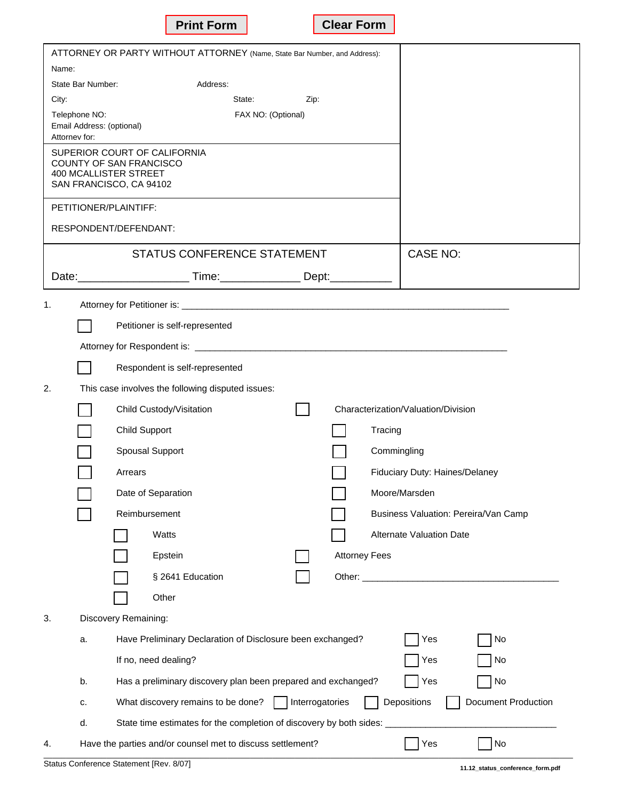| ATTORNEY OR PARTY WITHOUT ATTORNEY (Name, State Bar Number, and Address): |                           |                                                                                                    |  |
|---------------------------------------------------------------------------|---------------------------|----------------------------------------------------------------------------------------------------|--|
| Name:                                                                     |                           |                                                                                                    |  |
| City:                                                                     | State Bar Number:         | Address:<br>State:<br>Zip:                                                                         |  |
|                                                                           | Telephone NO:             | FAX NO: (Optional)                                                                                 |  |
| Attorney for:                                                             | Email Address: (optional) |                                                                                                    |  |
|                                                                           |                           | SUPERIOR COURT OF CALIFORNIA                                                                       |  |
|                                                                           |                           | <b>COUNTY OF SAN FRANCISCO</b><br><b>400 MCALLISTER STREET</b>                                     |  |
|                                                                           |                           | SAN FRANCISCO, CA 94102                                                                            |  |
|                                                                           |                           | PETITIONER/PLAINTIFF:                                                                              |  |
|                                                                           |                           | RESPONDENT/DEFENDANT:                                                                              |  |
|                                                                           |                           | STATUS CONFERENCE STATEMENT<br>CASE NO:                                                            |  |
|                                                                           |                           | Date: ___________________________Time: ____________________Dept: _______________                   |  |
| 1.                                                                        |                           |                                                                                                    |  |
|                                                                           |                           | Petitioner is self-represented                                                                     |  |
|                                                                           |                           |                                                                                                    |  |
|                                                                           |                           | Respondent is self-represented                                                                     |  |
| 2.                                                                        |                           | This case involves the following disputed issues:                                                  |  |
|                                                                           |                           | Characterization/Valuation/Division<br>Child Custody/Visitation                                    |  |
|                                                                           |                           | Child Support<br>Tracing                                                                           |  |
|                                                                           |                           | Spousal Support<br>Commingling                                                                     |  |
|                                                                           |                           | Fiduciary Duty: Haines/Delaney<br>Arrears                                                          |  |
|                                                                           |                           | Date of Separation<br>Moore/Marsden                                                                |  |
|                                                                           |                           | Reimbursement<br>Business Valuation: Pereira/Van Camp                                              |  |
|                                                                           |                           | Alternate Valuation Date<br>Watts                                                                  |  |
|                                                                           |                           | <b>Attorney Fees</b><br>Epstein                                                                    |  |
|                                                                           |                           | § 2641 Education                                                                                   |  |
|                                                                           |                           | Other                                                                                              |  |
| 3.                                                                        |                           | Discovery Remaining:                                                                               |  |
|                                                                           | a.                        | Have Preliminary Declaration of Disclosure been exchanged?<br>Yes<br>No                            |  |
|                                                                           |                           | If no, need dealing?<br>Yes<br>No                                                                  |  |
|                                                                           | b.                        | No<br>Has a preliminary discovery plan been prepared and exchanged?<br>Yes                         |  |
|                                                                           | c.                        | Depositions<br>What discovery remains to be done?<br>Interrogatories<br><b>Document Production</b> |  |
|                                                                           | d.                        | State time estimates for the completion of discovery by both sides:                                |  |
| 4.                                                                        |                           | Have the parties and/or counsel met to discuss settlement?<br>Yes<br>No                            |  |